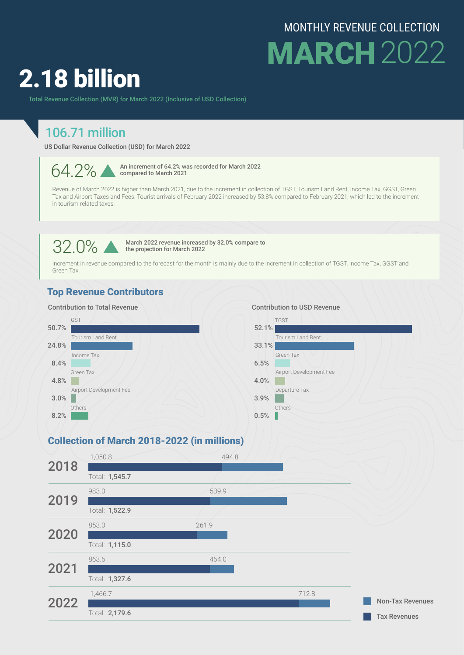## MONTHLY REVENUE COLLECTION **MARCH** 2022

# 2.18 billion

Total Revenue Collection (MVR) for March 2022 (Inclusive of USD Collection)

### 106.71 million

US Dollar Revenue Collection (USD) for March 2022

 $64.2\%$  M an increment of 64.2% was recorded for March 2022 compared to March 2021

Revenue of March 2022 is higher than March 2021, due to the increment in collection of TGST, Tourism Land Rent, Income Tax, GGST, Green Tax and Airport Taxes and Fees. Tourist arrivals of February 2022 increased by 53.8% compared to February 2021, which led to the increment in tourism related taxes.

 $32.0\%$  March 2022 revenue increased by 32.0% compare to<br>the projection for March 2022 the projection for March 2022

Increment in revenue compared to the forecast for the month is mainly due to the increment in collection of TGST, Income Tax, GGST and Green Tax.

#### Top Revenue Contributors



#### Collection of March 2018-2022 (in millions)

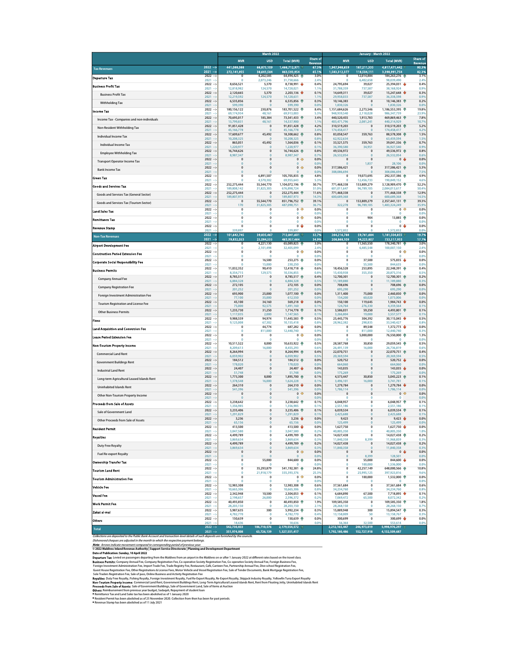| <b>MVR</b><br>$2022 - 5$<br>441.088.088<br><b>Tax Revenues</b><br>$2021 -$<br>272,141,955<br>$2022 -$<br>0<br><b>Departure Tax</b><br>$2021 -$<br>$\mathbf 0$<br>$2022 - 5$<br>8,656,521<br><b>Business Profit Tax</b><br>$2021 -$<br>12,818,982<br>$2022 -$<br>2,120,665<br><b>Business Profit Tax</b><br>$2021 -$<br>12.219.592<br>$2022 -$<br>6,535,856<br><b>Withholding Tax</b><br>$2021 - 5$<br>599,390<br>$2022 - 5$<br>180,156,122<br>Income Tax<br>$2021 -$<br>69,174,934<br>$2022 -$<br>70,695,017<br>Income Tax - Companies and non-individuals<br>$2021 - 3$<br>13,799,831<br>$2022 -$<br>91,851,428<br>Non-Resident Withholding Tax<br>$2021 - 3$<br>45,166,778<br>$2022 - 5$<br>17,609,677<br><b>Individual Income Tax</b><br>$2021 - 5$<br>10,208,325<br>$2022 - 5$<br>865,051<br>Individual Income Tax<br>$2021 -$<br>1,220,977<br>$2022 -$<br>16,744,626<br><b>Employee Withholding Tax</b><br>$2021 - 3$<br>8.987.347<br>$2022 -$<br>$\bf{0}$<br><b>Transport Operator Income Tax</b><br>$2021 - 5$<br>$\overline{0}$<br>$2022 - 5$<br>$\mathbf 0$<br><b>Bank Income Tax</b><br>$2021 -$<br>$\pmb{0}$<br>$2022 - 5$<br>0<br>Green Tax<br>$2021 -$<br>$\Omega$<br>$2022 - 5$<br>252,275,444<br><b>Goods and Services Tax</b><br>$2021 - 3$<br>189,808,142<br>$2022 - 5$<br>252,275,444<br>Goods and Services Tax (General Sector)<br>$2021 - 5$<br>189,807,973<br>$2022 - 5$<br>$\mathbf 0$<br>Goods and Services Tax (Tourism Sector)<br>$2021 - 5$<br>170<br>$2022 -$<br>$\overline{0}$<br><b>Land Sales Tax</b><br>$\mathbf{0}$<br>$2021 -$<br>$2022 - 5$<br>0<br><b>Remittance Tax</b><br>$2021 -$<br>$\pmb{0}$<br>$2022 - 5$<br>$\mathbf 0$<br><b>Revenue Stamp</b><br>2021<br>339,897<br>$2022 - 5$<br>101,642,745<br><b>Non-Tax Revenues</b><br>79,832,053<br>$2021 - 5$<br>$2022 - 5$<br>$\overline{0}$<br><b>Airport Development Fee</b><br>$2021 - 3$<br>$\mathbf{0}$<br>$2022 -$<br>$\mathbf 0$<br><b>Construction Period Extension Fee</b><br>$2021 -$<br>$\Omega$<br>$2022 -$<br>$\overline{0}$<br>Corporate Social Responsibility Fee<br>$2021 -$<br>$\theta$<br>$2022 - 5$<br>11,032,352<br><b>Business Permits</b><br>$2021 -$<br>8,354,715<br>$2022 -$<br>8,785,517<br><b>Company Annual Fee</b><br>$2021 -$<br>6,884,328<br>$2022 - 5$<br>272,105<br><b>Company Registration Fee</b><br>$2021 -$<br>201,252<br>$2022 - 5$<br>693,900<br>Foreign Investment Administration Fee<br>$2021 - 3$<br>77,100<br>$2022 - 5$<br>45,100<br><b>Tourism Registration and License Fee</b><br>$2021 -$<br>75,000<br>1,235,730<br>$2022 - 5$<br><b>Other Business Permits</b><br>$2021 -$<br>1,117,035<br>$2022 - 5$<br>9,988,559<br><b>Fines</b><br>9,125,008<br>$2021 -$<br>$2022 - 5$<br>$\mathbf 0$<br>Land Acquisition and Conversion Fee<br>$2021 -$<br>$\mathbf 0$<br>$2022 -$<br>$\mathbf 0$<br>Lease Period Extension Fee<br>$2021 -$<br>$\mathbf{0}$<br>$2022 - 5$<br>10,511,522<br>Non-Tourism Property Income<br>$2021 -$<br>8.209.613<br>$2022 -$<br>8,264,994<br><b>Commercial Land Rent</b><br>$2021 -$<br>6.059.902<br>$2022 - 5$<br>184,512<br><b>Government Buildings Rent</b><br>$2021 -$<br>178,020<br>$2022 - 5$<br>24,407<br><b>Industrial Land Rent</b><br>$2021 -$<br>51,748<br>$2022 -$<br>1,773,300<br>Long-term Agricultural Leased Islands Rent<br>$2021 -$<br>1,378,548<br>$2022 - 5$<br>264,310<br><b>Uninhabited Islands Rent</b><br>$2021 - 3$<br>541.396<br>$2022 - 5$<br>$\mathbf 0$<br>Other Non-Tourism Property Income<br>$2021 - 5$<br>$\overline{0}$<br>$2022 - 5$<br>3.238.642<br><b>Proceeds from Sale of Assets</b><br>$2021 -$<br>1,356,985<br>$2022 -$<br>3,235,406<br>Sale of Government Land<br>1.291.829<br>$2021 -$<br>$2022 -$<br>3,236<br>Other Proceeds from Sale of Assets<br>2021<br>65,156<br>$2022 - 5$<br>413,500<br><b>Resident Permit</b><br>$2021 -$<br>3,047,580<br>$2022 - 5$<br>4,499,789<br><b>Royalties</b><br>$2021 -$<br>3,869,634<br>$2022 -$<br>4,499,789<br><b>Duty Free Royalty</b><br>$2021 - 5$<br>3.869.634<br>$2022 - 5$<br>$\mathbf{0}$<br>Fuel Re-export Royalty<br>$2021 -$<br>$\pmb{0}$<br>$2022 - 5$<br>$\mathbf 0$<br><b>Ownership Transfer Tax</b><br>$2021 -$<br>$\Omega$ | <b>USD</b><br><b>Total (MVR)</b><br>1,466,712,971<br>66,875,109<br>38,641,584<br>863,593,954<br>4,202,585<br>64,494,425 个<br>2,073,246<br>31,758,666<br>5.370<br>8.738.991<br>124,570<br>14,728,021<br>5,370<br>124,570<br>14,128,631<br>6,535,856<br>$\mathbf 0$<br>599,390<br>$\overline{0}$<br>230.876<br>183,701,522 个<br>48,161<br>69,913,003<br>185,384<br>73,541,433 个<br>48,161<br>14,537,900<br>$\mathbf 0$<br>91,851,428<br>$\overline{0}$<br>45,166,778<br>18,308,662<br>45,492<br>$\overline{0}$<br>10,208,325<br>45,492<br>$\overline{0}$<br>1,220,977<br>$\overline{0}$<br>16,744,626<br>8.987.347<br>$\overline{0}$<br>$\overline{0}$<br>$\overline{0}$<br>$\mathbf 0$<br>$\bf{0}$<br>105,705,835<br>6.891.507<br>4,570,302<br>69.955.643<br>55,544,770<br>1,104,072,196<br>31,825,305<br>676.898.724<br>$\mathbf 0$<br>252,275,444<br>189,807,973<br>$\overline{0}$<br>55,544,770<br>851,796,752<br>31,825,305<br>487,090,751<br>$\overline{0}$<br>$\overline{0}$<br>$\pmb{0}$<br>$\overline{0}$<br>$\mathbf 0$<br>339,897<br>$\theta$<br>39,835,467<br>712,841,601<br>25,084,555<br>463,957,464<br>4,221,130<br>65,089,825<br>2,101,498<br>32,405,099<br>$\mathbf 0$<br>$\theta$ | <b>Share of</b><br>Revenue<br>67.3%<br>65.1%<br>3.0%<br>2.4%<br>ŵ<br>0.4%<br>1.1%<br>2,203,136<br>0.1%<br>1.1%<br>۰<br>0.3%<br>0.0%<br>8.4%<br>5.3%<br>3.4%<br>1.1%<br>4.2%<br>4<br>3.4%<br>0.8%<br>0.8%<br>1,564,036<br>0.1%<br>0.1%<br>0.8%<br>0.7%<br>$\pmb{0}$<br>$\Rightarrow$<br>0.0%<br>$\overline{0}$<br>0.0%<br>$0 \Rightarrow$<br>0.0%<br>0.0%<br>4.8%<br>5.3%<br>50.7%<br>51.0%<br>一个<br>11.6%<br>14.3%<br>39.1%<br>36.7%<br>⇛<br>$\overline{0}$<br>0.0%<br>$\theta$<br>0.0%<br>D<br>$\pmb{0}$<br>0.0%<br>0.0%<br>$\theta$<br>0 <sub>0</sub><br>0.0%<br>0.0%<br>32.7%<br>34.9% | <b>MVR</b><br>1,947,948,659<br>1,583,312,377<br>0<br>$\theta$<br>24,795,694<br>31,788,359<br>14,649,311<br>29.958.033<br>10,146,383<br>1,830,326<br>1,151,684,626<br>948,939,540<br>440,520,455<br>403,471,796<br>310,519,203<br>174,458,417<br>83,058,547<br>62,922,634<br>33.521.575<br>36,390,580<br>49,536,972<br>26,532,054<br>$\pmb{0}$<br>$\overline{0}$<br>317,586,421<br>308,086,694<br>$\mathbf 0$<br>$\Omega$<br>771,468,338<br>601.011.647<br>771,468,338<br>600,689,368<br>$\mathbf 0$<br>322,278<br>$\mathbf 0$<br>$\theta$<br>$\pmb{0}$<br>$\theta$ | <b>USD</b><br>187,211,335<br>118,504,111<br>12,014,884<br>6,402,658<br>39.027<br>737,587<br>39,027<br>737.587<br>$\pmb{0}$<br>$\bf{0}$<br>2.273.546<br>2,118,028<br>1,913,783<br>2,081,241<br>$\pmb{0}$<br>$\mathbf{0}$<br>359,763<br>$\bf{0}$<br>359.763<br>34,951<br>$\overline{0}$<br>$\mathbf{0}$<br>0<br>1,837<br>$\pmb{0}$<br>$\pmb{0}$<br>19.073.695<br>12,456,733<br>153,809,279<br>96,789,105<br>$\pmb{0}$<br>$\bf{0}$<br>153,809,279<br>96,789,105 | <b>Total (MVR)</b><br>4,817,471,442<br>3,398,991,754<br>184.263.276<br>98,039,490<br>25.394.031<br>38,168,924<br>15,247,648<br>36,338,598<br>10,146,383<br>1,830,326<br>1,186,553,395<br>986,347,739<br>469,869,463 个<br>440.314.929<br>310,519,203<br>174,458,417<br>88,578,308 个<br>63,459,594<br>39,041,336<br>36,927,540<br>49,536,972 个<br>26.532.054<br>0<br>28,106<br>317,586,421 个<br>308,086,694<br>292.337.386<br>190.849.152<br>3,128,909,470<br>2.084.013.617<br>771,468,338 | <b>Share of</b><br>Revenue<br>3.1%<br>2.4%<br>0.99<br>0.9%<br>0.0%<br>19.8%<br>23.9%<br>10.79<br>4.29<br>1.5%<br>1.5%<br>0.9%<br>0.6%<br>0.0%<br>0.0%<br>5.3%<br>7.59<br>Æ |
|---------------------------------------------------------------------------------------------------------------------------------------------------------------------------------------------------------------------------------------------------------------------------------------------------------------------------------------------------------------------------------------------------------------------------------------------------------------------------------------------------------------------------------------------------------------------------------------------------------------------------------------------------------------------------------------------------------------------------------------------------------------------------------------------------------------------------------------------------------------------------------------------------------------------------------------------------------------------------------------------------------------------------------------------------------------------------------------------------------------------------------------------------------------------------------------------------------------------------------------------------------------------------------------------------------------------------------------------------------------------------------------------------------------------------------------------------------------------------------------------------------------------------------------------------------------------------------------------------------------------------------------------------------------------------------------------------------------------------------------------------------------------------------------------------------------------------------------------------------------------------------------------------------------------------------------------------------------------------------------------------------------------------------------------------------------------------------------------------------------------------------------------------------------------------------------------------------------------------------------------------------------------------------------------------------------------------------------------------------------------------------------------------------------------------------------------------------------------------------------------------------------------------------------------------------------------------------------------------------------------------------------------------------------------------------------------------------------------------------------------------------------------------------------------------------------------------------------------------------------------------------------------------------------------------------------------------------------------------------------------------------------------------------------------------------------------------------------------------------------------------------------------------------------------------------------------------------------------------------------------------------------------------------------------------------------------------------------------------------------------------------------------------------------------------------------------------------------------------------------------------------------------------------------------------------------------------------------------------------------------------------------------------------------------------------------------------------------------------------------------------------------------------------------------------------------------------------------------------------------------------------------------------------------------------------------------------------------------------------------------------------------------------------------------------------------------------------------------------------------------------------------------------------------------------------|---------------------------------------------------------------------------------------------------------------------------------------------------------------------------------------------------------------------------------------------------------------------------------------------------------------------------------------------------------------------------------------------------------------------------------------------------------------------------------------------------------------------------------------------------------------------------------------------------------------------------------------------------------------------------------------------------------------------------------------------------------------------------------------------------------------------------------------------------------------------------------------------------------------------------------------------------------------------------------------------------------------------------------------------------------------------------------------------------------------------------------------------------------------------------------------------------|-------------------------------------------------------------------------------------------------------------------------------------------------------------------------------------------------------------------------------------------------------------------------------------------------------------------------------------------------------------------------------------------------------------------------------------------------------------------------------------------------------------------------------------------------------------------------------------------|--------------------------------------------------------------------------------------------------------------------------------------------------------------------------------------------------------------------------------------------------------------------------------------------------------------------------------------------------------------------------------------------------------------------------------------------------------------------------------------------------------------------------------------------------------------------|--------------------------------------------------------------------------------------------------------------------------------------------------------------------------------------------------------------------------------------------------------------------------------------------------------------------------------------------------------------------------------------------------------------------------------------------------------------|------------------------------------------------------------------------------------------------------------------------------------------------------------------------------------------------------------------------------------------------------------------------------------------------------------------------------------------------------------------------------------------------------------------------------------------------------------------------------------------|----------------------------------------------------------------------------------------------------------------------------------------------------------------------------|
|                                                                                                                                                                                                                                                                                                                                                                                                                                                                                                                                                                                                                                                                                                                                                                                                                                                                                                                                                                                                                                                                                                                                                                                                                                                                                                                                                                                                                                                                                                                                                                                                                                                                                                                                                                                                                                                                                                                                                                                                                                                                                                                                                                                                                                                                                                                                                                                                                                                                                                                                                                                                                                                                                                                                                                                                                                                                                                                                                                                                                                                                                                                                                                                                                                                                                                                                                                                                                                                                                                                                                                                                                                                                                                                                                                                                                                                                                                                                                                                                                                                                                                                                                                                 |                                                                                                                                                                                                                                                                                                                                                                                                                                                                                                                                                                                                                                                                                                                                                                                                                                                                                                                                                                                                                                                                                                                                                                                                   |                                                                                                                                                                                                                                                                                                                                                                                                                                                                                                                                                                                           |                                                                                                                                                                                                                                                                                                                                                                                                                                                                                                                                                                    |                                                                                                                                                                                                                                                                                                                                                                                                                                                              |                                                                                                                                                                                                                                                                                                                                                                                                                                                                                          | 80.3%<br>82.3%<br>0.3%<br>0.2%<br>5.2%<br>0.7%<br>4.9%                                                                                                                     |
|                                                                                                                                                                                                                                                                                                                                                                                                                                                                                                                                                                                                                                                                                                                                                                                                                                                                                                                                                                                                                                                                                                                                                                                                                                                                                                                                                                                                                                                                                                                                                                                                                                                                                                                                                                                                                                                                                                                                                                                                                                                                                                                                                                                                                                                                                                                                                                                                                                                                                                                                                                                                                                                                                                                                                                                                                                                                                                                                                                                                                                                                                                                                                                                                                                                                                                                                                                                                                                                                                                                                                                                                                                                                                                                                                                                                                                                                                                                                                                                                                                                                                                                                                                                 |                                                                                                                                                                                                                                                                                                                                                                                                                                                                                                                                                                                                                                                                                                                                                                                                                                                                                                                                                                                                                                                                                                                                                                                                   |                                                                                                                                                                                                                                                                                                                                                                                                                                                                                                                                                                                           |                                                                                                                                                                                                                                                                                                                                                                                                                                                                                                                                                                    |                                                                                                                                                                                                                                                                                                                                                                                                                                                              |                                                                                                                                                                                                                                                                                                                                                                                                                                                                                          | 0.4%<br>7.8%<br>0.8%                                                                                                                                                       |
|                                                                                                                                                                                                                                                                                                                                                                                                                                                                                                                                                                                                                                                                                                                                                                                                                                                                                                                                                                                                                                                                                                                                                                                                                                                                                                                                                                                                                                                                                                                                                                                                                                                                                                                                                                                                                                                                                                                                                                                                                                                                                                                                                                                                                                                                                                                                                                                                                                                                                                                                                                                                                                                                                                                                                                                                                                                                                                                                                                                                                                                                                                                                                                                                                                                                                                                                                                                                                                                                                                                                                                                                                                                                                                                                                                                                                                                                                                                                                                                                                                                                                                                                                                                 |                                                                                                                                                                                                                                                                                                                                                                                                                                                                                                                                                                                                                                                                                                                                                                                                                                                                                                                                                                                                                                                                                                                                                                                                   |                                                                                                                                                                                                                                                                                                                                                                                                                                                                                                                                                                                           |                                                                                                                                                                                                                                                                                                                                                                                                                                                                                                                                                                    |                                                                                                                                                                                                                                                                                                                                                                                                                                                              |                                                                                                                                                                                                                                                                                                                                                                                                                                                                                          |                                                                                                                                                                            |
|                                                                                                                                                                                                                                                                                                                                                                                                                                                                                                                                                                                                                                                                                                                                                                                                                                                                                                                                                                                                                                                                                                                                                                                                                                                                                                                                                                                                                                                                                                                                                                                                                                                                                                                                                                                                                                                                                                                                                                                                                                                                                                                                                                                                                                                                                                                                                                                                                                                                                                                                                                                                                                                                                                                                                                                                                                                                                                                                                                                                                                                                                                                                                                                                                                                                                                                                                                                                                                                                                                                                                                                                                                                                                                                                                                                                                                                                                                                                                                                                                                                                                                                                                                                 |                                                                                                                                                                                                                                                                                                                                                                                                                                                                                                                                                                                                                                                                                                                                                                                                                                                                                                                                                                                                                                                                                                                                                                                                   |                                                                                                                                                                                                                                                                                                                                                                                                                                                                                                                                                                                           |                                                                                                                                                                                                                                                                                                                                                                                                                                                                                                                                                                    |                                                                                                                                                                                                                                                                                                                                                                                                                                                              |                                                                                                                                                                                                                                                                                                                                                                                                                                                                                          |                                                                                                                                                                            |
|                                                                                                                                                                                                                                                                                                                                                                                                                                                                                                                                                                                                                                                                                                                                                                                                                                                                                                                                                                                                                                                                                                                                                                                                                                                                                                                                                                                                                                                                                                                                                                                                                                                                                                                                                                                                                                                                                                                                                                                                                                                                                                                                                                                                                                                                                                                                                                                                                                                                                                                                                                                                                                                                                                                                                                                                                                                                                                                                                                                                                                                                                                                                                                                                                                                                                                                                                                                                                                                                                                                                                                                                                                                                                                                                                                                                                                                                                                                                                                                                                                                                                                                                                                                 |                                                                                                                                                                                                                                                                                                                                                                                                                                                                                                                                                                                                                                                                                                                                                                                                                                                                                                                                                                                                                                                                                                                                                                                                   |                                                                                                                                                                                                                                                                                                                                                                                                                                                                                                                                                                                           |                                                                                                                                                                                                                                                                                                                                                                                                                                                                                                                                                                    |                                                                                                                                                                                                                                                                                                                                                                                                                                                              |                                                                                                                                                                                                                                                                                                                                                                                                                                                                                          |                                                                                                                                                                            |
|                                                                                                                                                                                                                                                                                                                                                                                                                                                                                                                                                                                                                                                                                                                                                                                                                                                                                                                                                                                                                                                                                                                                                                                                                                                                                                                                                                                                                                                                                                                                                                                                                                                                                                                                                                                                                                                                                                                                                                                                                                                                                                                                                                                                                                                                                                                                                                                                                                                                                                                                                                                                                                                                                                                                                                                                                                                                                                                                                                                                                                                                                                                                                                                                                                                                                                                                                                                                                                                                                                                                                                                                                                                                                                                                                                                                                                                                                                                                                                                                                                                                                                                                                                                 |                                                                                                                                                                                                                                                                                                                                                                                                                                                                                                                                                                                                                                                                                                                                                                                                                                                                                                                                                                                                                                                                                                                                                                                                   |                                                                                                                                                                                                                                                                                                                                                                                                                                                                                                                                                                                           |                                                                                                                                                                                                                                                                                                                                                                                                                                                                                                                                                                    |                                                                                                                                                                                                                                                                                                                                                                                                                                                              |                                                                                                                                                                                                                                                                                                                                                                                                                                                                                          |                                                                                                                                                                            |
|                                                                                                                                                                                                                                                                                                                                                                                                                                                                                                                                                                                                                                                                                                                                                                                                                                                                                                                                                                                                                                                                                                                                                                                                                                                                                                                                                                                                                                                                                                                                                                                                                                                                                                                                                                                                                                                                                                                                                                                                                                                                                                                                                                                                                                                                                                                                                                                                                                                                                                                                                                                                                                                                                                                                                                                                                                                                                                                                                                                                                                                                                                                                                                                                                                                                                                                                                                                                                                                                                                                                                                                                                                                                                                                                                                                                                                                                                                                                                                                                                                                                                                                                                                                 |                                                                                                                                                                                                                                                                                                                                                                                                                                                                                                                                                                                                                                                                                                                                                                                                                                                                                                                                                                                                                                                                                                                                                                                                   |                                                                                                                                                                                                                                                                                                                                                                                                                                                                                                                                                                                           |                                                                                                                                                                                                                                                                                                                                                                                                                                                                                                                                                                    |                                                                                                                                                                                                                                                                                                                                                                                                                                                              |                                                                                                                                                                                                                                                                                                                                                                                                                                                                                          |                                                                                                                                                                            |
|                                                                                                                                                                                                                                                                                                                                                                                                                                                                                                                                                                                                                                                                                                                                                                                                                                                                                                                                                                                                                                                                                                                                                                                                                                                                                                                                                                                                                                                                                                                                                                                                                                                                                                                                                                                                                                                                                                                                                                                                                                                                                                                                                                                                                                                                                                                                                                                                                                                                                                                                                                                                                                                                                                                                                                                                                                                                                                                                                                                                                                                                                                                                                                                                                                                                                                                                                                                                                                                                                                                                                                                                                                                                                                                                                                                                                                                                                                                                                                                                                                                                                                                                                                                 |                                                                                                                                                                                                                                                                                                                                                                                                                                                                                                                                                                                                                                                                                                                                                                                                                                                                                                                                                                                                                                                                                                                                                                                                   |                                                                                                                                                                                                                                                                                                                                                                                                                                                                                                                                                                                           |                                                                                                                                                                                                                                                                                                                                                                                                                                                                                                                                                                    |                                                                                                                                                                                                                                                                                                                                                                                                                                                              |                                                                                                                                                                                                                                                                                                                                                                                                                                                                                          |                                                                                                                                                                            |
|                                                                                                                                                                                                                                                                                                                                                                                                                                                                                                                                                                                                                                                                                                                                                                                                                                                                                                                                                                                                                                                                                                                                                                                                                                                                                                                                                                                                                                                                                                                                                                                                                                                                                                                                                                                                                                                                                                                                                                                                                                                                                                                                                                                                                                                                                                                                                                                                                                                                                                                                                                                                                                                                                                                                                                                                                                                                                                                                                                                                                                                                                                                                                                                                                                                                                                                                                                                                                                                                                                                                                                                                                                                                                                                                                                                                                                                                                                                                                                                                                                                                                                                                                                                 |                                                                                                                                                                                                                                                                                                                                                                                                                                                                                                                                                                                                                                                                                                                                                                                                                                                                                                                                                                                                                                                                                                                                                                                                   |                                                                                                                                                                                                                                                                                                                                                                                                                                                                                                                                                                                           |                                                                                                                                                                                                                                                                                                                                                                                                                                                                                                                                                                    |                                                                                                                                                                                                                                                                                                                                                                                                                                                              |                                                                                                                                                                                                                                                                                                                                                                                                                                                                                          |                                                                                                                                                                            |
|                                                                                                                                                                                                                                                                                                                                                                                                                                                                                                                                                                                                                                                                                                                                                                                                                                                                                                                                                                                                                                                                                                                                                                                                                                                                                                                                                                                                                                                                                                                                                                                                                                                                                                                                                                                                                                                                                                                                                                                                                                                                                                                                                                                                                                                                                                                                                                                                                                                                                                                                                                                                                                                                                                                                                                                                                                                                                                                                                                                                                                                                                                                                                                                                                                                                                                                                                                                                                                                                                                                                                                                                                                                                                                                                                                                                                                                                                                                                                                                                                                                                                                                                                                                 |                                                                                                                                                                                                                                                                                                                                                                                                                                                                                                                                                                                                                                                                                                                                                                                                                                                                                                                                                                                                                                                                                                                                                                                                   |                                                                                                                                                                                                                                                                                                                                                                                                                                                                                                                                                                                           |                                                                                                                                                                                                                                                                                                                                                                                                                                                                                                                                                                    |                                                                                                                                                                                                                                                                                                                                                                                                                                                              |                                                                                                                                                                                                                                                                                                                                                                                                                                                                                          |                                                                                                                                                                            |
|                                                                                                                                                                                                                                                                                                                                                                                                                                                                                                                                                                                                                                                                                                                                                                                                                                                                                                                                                                                                                                                                                                                                                                                                                                                                                                                                                                                                                                                                                                                                                                                                                                                                                                                                                                                                                                                                                                                                                                                                                                                                                                                                                                                                                                                                                                                                                                                                                                                                                                                                                                                                                                                                                                                                                                                                                                                                                                                                                                                                                                                                                                                                                                                                                                                                                                                                                                                                                                                                                                                                                                                                                                                                                                                                                                                                                                                                                                                                                                                                                                                                                                                                                                                 |                                                                                                                                                                                                                                                                                                                                                                                                                                                                                                                                                                                                                                                                                                                                                                                                                                                                                                                                                                                                                                                                                                                                                                                                   |                                                                                                                                                                                                                                                                                                                                                                                                                                                                                                                                                                                           |                                                                                                                                                                                                                                                                                                                                                                                                                                                                                                                                                                    |                                                                                                                                                                                                                                                                                                                                                                                                                                                              |                                                                                                                                                                                                                                                                                                                                                                                                                                                                                          |                                                                                                                                                                            |
|                                                                                                                                                                                                                                                                                                                                                                                                                                                                                                                                                                                                                                                                                                                                                                                                                                                                                                                                                                                                                                                                                                                                                                                                                                                                                                                                                                                                                                                                                                                                                                                                                                                                                                                                                                                                                                                                                                                                                                                                                                                                                                                                                                                                                                                                                                                                                                                                                                                                                                                                                                                                                                                                                                                                                                                                                                                                                                                                                                                                                                                                                                                                                                                                                                                                                                                                                                                                                                                                                                                                                                                                                                                                                                                                                                                                                                                                                                                                                                                                                                                                                                                                                                                 |                                                                                                                                                                                                                                                                                                                                                                                                                                                                                                                                                                                                                                                                                                                                                                                                                                                                                                                                                                                                                                                                                                                                                                                                   |                                                                                                                                                                                                                                                                                                                                                                                                                                                                                                                                                                                           |                                                                                                                                                                                                                                                                                                                                                                                                                                                                                                                                                                    |                                                                                                                                                                                                                                                                                                                                                                                                                                                              |                                                                                                                                                                                                                                                                                                                                                                                                                                                                                          |                                                                                                                                                                            |
|                                                                                                                                                                                                                                                                                                                                                                                                                                                                                                                                                                                                                                                                                                                                                                                                                                                                                                                                                                                                                                                                                                                                                                                                                                                                                                                                                                                                                                                                                                                                                                                                                                                                                                                                                                                                                                                                                                                                                                                                                                                                                                                                                                                                                                                                                                                                                                                                                                                                                                                                                                                                                                                                                                                                                                                                                                                                                                                                                                                                                                                                                                                                                                                                                                                                                                                                                                                                                                                                                                                                                                                                                                                                                                                                                                                                                                                                                                                                                                                                                                                                                                                                                                                 |                                                                                                                                                                                                                                                                                                                                                                                                                                                                                                                                                                                                                                                                                                                                                                                                                                                                                                                                                                                                                                                                                                                                                                                                   |                                                                                                                                                                                                                                                                                                                                                                                                                                                                                                                                                                                           |                                                                                                                                                                                                                                                                                                                                                                                                                                                                                                                                                                    |                                                                                                                                                                                                                                                                                                                                                                                                                                                              |                                                                                                                                                                                                                                                                                                                                                                                                                                                                                          |                                                                                                                                                                            |
|                                                                                                                                                                                                                                                                                                                                                                                                                                                                                                                                                                                                                                                                                                                                                                                                                                                                                                                                                                                                                                                                                                                                                                                                                                                                                                                                                                                                                                                                                                                                                                                                                                                                                                                                                                                                                                                                                                                                                                                                                                                                                                                                                                                                                                                                                                                                                                                                                                                                                                                                                                                                                                                                                                                                                                                                                                                                                                                                                                                                                                                                                                                                                                                                                                                                                                                                                                                                                                                                                                                                                                                                                                                                                                                                                                                                                                                                                                                                                                                                                                                                                                                                                                                 |                                                                                                                                                                                                                                                                                                                                                                                                                                                                                                                                                                                                                                                                                                                                                                                                                                                                                                                                                                                                                                                                                                                                                                                                   |                                                                                                                                                                                                                                                                                                                                                                                                                                                                                                                                                                                           |                                                                                                                                                                                                                                                                                                                                                                                                                                                                                                                                                                    |                                                                                                                                                                                                                                                                                                                                                                                                                                                              |                                                                                                                                                                                                                                                                                                                                                                                                                                                                                          |                                                                                                                                                                            |
|                                                                                                                                                                                                                                                                                                                                                                                                                                                                                                                                                                                                                                                                                                                                                                                                                                                                                                                                                                                                                                                                                                                                                                                                                                                                                                                                                                                                                                                                                                                                                                                                                                                                                                                                                                                                                                                                                                                                                                                                                                                                                                                                                                                                                                                                                                                                                                                                                                                                                                                                                                                                                                                                                                                                                                                                                                                                                                                                                                                                                                                                                                                                                                                                                                                                                                                                                                                                                                                                                                                                                                                                                                                                                                                                                                                                                                                                                                                                                                                                                                                                                                                                                                                 |                                                                                                                                                                                                                                                                                                                                                                                                                                                                                                                                                                                                                                                                                                                                                                                                                                                                                                                                                                                                                                                                                                                                                                                                   |                                                                                                                                                                                                                                                                                                                                                                                                                                                                                                                                                                                           |                                                                                                                                                                                                                                                                                                                                                                                                                                                                                                                                                                    |                                                                                                                                                                                                                                                                                                                                                                                                                                                              |                                                                                                                                                                                                                                                                                                                                                                                                                                                                                          |                                                                                                                                                                            |
|                                                                                                                                                                                                                                                                                                                                                                                                                                                                                                                                                                                                                                                                                                                                                                                                                                                                                                                                                                                                                                                                                                                                                                                                                                                                                                                                                                                                                                                                                                                                                                                                                                                                                                                                                                                                                                                                                                                                                                                                                                                                                                                                                                                                                                                                                                                                                                                                                                                                                                                                                                                                                                                                                                                                                                                                                                                                                                                                                                                                                                                                                                                                                                                                                                                                                                                                                                                                                                                                                                                                                                                                                                                                                                                                                                                                                                                                                                                                                                                                                                                                                                                                                                                 |                                                                                                                                                                                                                                                                                                                                                                                                                                                                                                                                                                                                                                                                                                                                                                                                                                                                                                                                                                                                                                                                                                                                                                                                   |                                                                                                                                                                                                                                                                                                                                                                                                                                                                                                                                                                                           |                                                                                                                                                                                                                                                                                                                                                                                                                                                                                                                                                                    |                                                                                                                                                                                                                                                                                                                                                                                                                                                              |                                                                                                                                                                                                                                                                                                                                                                                                                                                                                          |                                                                                                                                                                            |
|                                                                                                                                                                                                                                                                                                                                                                                                                                                                                                                                                                                                                                                                                                                                                                                                                                                                                                                                                                                                                                                                                                                                                                                                                                                                                                                                                                                                                                                                                                                                                                                                                                                                                                                                                                                                                                                                                                                                                                                                                                                                                                                                                                                                                                                                                                                                                                                                                                                                                                                                                                                                                                                                                                                                                                                                                                                                                                                                                                                                                                                                                                                                                                                                                                                                                                                                                                                                                                                                                                                                                                                                                                                                                                                                                                                                                                                                                                                                                                                                                                                                                                                                                                                 |                                                                                                                                                                                                                                                                                                                                                                                                                                                                                                                                                                                                                                                                                                                                                                                                                                                                                                                                                                                                                                                                                                                                                                                                   |                                                                                                                                                                                                                                                                                                                                                                                                                                                                                                                                                                                           |                                                                                                                                                                                                                                                                                                                                                                                                                                                                                                                                                                    |                                                                                                                                                                                                                                                                                                                                                                                                                                                              |                                                                                                                                                                                                                                                                                                                                                                                                                                                                                          | 4.6%                                                                                                                                                                       |
|                                                                                                                                                                                                                                                                                                                                                                                                                                                                                                                                                                                                                                                                                                                                                                                                                                                                                                                                                                                                                                                                                                                                                                                                                                                                                                                                                                                                                                                                                                                                                                                                                                                                                                                                                                                                                                                                                                                                                                                                                                                                                                                                                                                                                                                                                                                                                                                                                                                                                                                                                                                                                                                                                                                                                                                                                                                                                                                                                                                                                                                                                                                                                                                                                                                                                                                                                                                                                                                                                                                                                                                                                                                                                                                                                                                                                                                                                                                                                                                                                                                                                                                                                                                 |                                                                                                                                                                                                                                                                                                                                                                                                                                                                                                                                                                                                                                                                                                                                                                                                                                                                                                                                                                                                                                                                                                                                                                                                   |                                                                                                                                                                                                                                                                                                                                                                                                                                                                                                                                                                                           |                                                                                                                                                                                                                                                                                                                                                                                                                                                                                                                                                                    |                                                                                                                                                                                                                                                                                                                                                                                                                                                              |                                                                                                                                                                                                                                                                                                                                                                                                                                                                                          | 52.2%<br>50.4%                                                                                                                                                             |
|                                                                                                                                                                                                                                                                                                                                                                                                                                                                                                                                                                                                                                                                                                                                                                                                                                                                                                                                                                                                                                                                                                                                                                                                                                                                                                                                                                                                                                                                                                                                                                                                                                                                                                                                                                                                                                                                                                                                                                                                                                                                                                                                                                                                                                                                                                                                                                                                                                                                                                                                                                                                                                                                                                                                                                                                                                                                                                                                                                                                                                                                                                                                                                                                                                                                                                                                                                                                                                                                                                                                                                                                                                                                                                                                                                                                                                                                                                                                                                                                                                                                                                                                                                                 |                                                                                                                                                                                                                                                                                                                                                                                                                                                                                                                                                                                                                                                                                                                                                                                                                                                                                                                                                                                                                                                                                                                                                                                                   |                                                                                                                                                                                                                                                                                                                                                                                                                                                                                                                                                                                           |                                                                                                                                                                                                                                                                                                                                                                                                                                                                                                                                                                    |                                                                                                                                                                                                                                                                                                                                                                                                                                                              | 600,689,368                                                                                                                                                                                                                                                                                                                                                                                                                                                                              | 12.9%<br>14.5%                                                                                                                                                             |
|                                                                                                                                                                                                                                                                                                                                                                                                                                                                                                                                                                                                                                                                                                                                                                                                                                                                                                                                                                                                                                                                                                                                                                                                                                                                                                                                                                                                                                                                                                                                                                                                                                                                                                                                                                                                                                                                                                                                                                                                                                                                                                                                                                                                                                                                                                                                                                                                                                                                                                                                                                                                                                                                                                                                                                                                                                                                                                                                                                                                                                                                                                                                                                                                                                                                                                                                                                                                                                                                                                                                                                                                                                                                                                                                                                                                                                                                                                                                                                                                                                                                                                                                                                                 |                                                                                                                                                                                                                                                                                                                                                                                                                                                                                                                                                                                                                                                                                                                                                                                                                                                                                                                                                                                                                                                                                                                                                                                                   |                                                                                                                                                                                                                                                                                                                                                                                                                                                                                                                                                                                           |                                                                                                                                                                                                                                                                                                                                                                                                                                                                                                                                                                    |                                                                                                                                                                                                                                                                                                                                                                                                                                                              | 2,357,441,131                                                                                                                                                                                                                                                                                                                                                                                                                                                                            | 39.3%                                                                                                                                                                      |
|                                                                                                                                                                                                                                                                                                                                                                                                                                                                                                                                                                                                                                                                                                                                                                                                                                                                                                                                                                                                                                                                                                                                                                                                                                                                                                                                                                                                                                                                                                                                                                                                                                                                                                                                                                                                                                                                                                                                                                                                                                                                                                                                                                                                                                                                                                                                                                                                                                                                                                                                                                                                                                                                                                                                                                                                                                                                                                                                                                                                                                                                                                                                                                                                                                                                                                                                                                                                                                                                                                                                                                                                                                                                                                                                                                                                                                                                                                                                                                                                                                                                                                                                                                                 |                                                                                                                                                                                                                                                                                                                                                                                                                                                                                                                                                                                                                                                                                                                                                                                                                                                                                                                                                                                                                                                                                                                                                                                                   |                                                                                                                                                                                                                                                                                                                                                                                                                                                                                                                                                                                           |                                                                                                                                                                                                                                                                                                                                                                                                                                                                                                                                                                    | $\mathbf 0$                                                                                                                                                                                                                                                                                                                                                                                                                                                  | 1,483,324,249<br>0 <sup>2</sup>                                                                                                                                                                                                                                                                                                                                                                                                                                                          | 35.99<br>0.0%                                                                                                                                                              |
|                                                                                                                                                                                                                                                                                                                                                                                                                                                                                                                                                                                                                                                                                                                                                                                                                                                                                                                                                                                                                                                                                                                                                                                                                                                                                                                                                                                                                                                                                                                                                                                                                                                                                                                                                                                                                                                                                                                                                                                                                                                                                                                                                                                                                                                                                                                                                                                                                                                                                                                                                                                                                                                                                                                                                                                                                                                                                                                                                                                                                                                                                                                                                                                                                                                                                                                                                                                                                                                                                                                                                                                                                                                                                                                                                                                                                                                                                                                                                                                                                                                                                                                                                                                 |                                                                                                                                                                                                                                                                                                                                                                                                                                                                                                                                                                                                                                                                                                                                                                                                                                                                                                                                                                                                                                                                                                                                                                                                   |                                                                                                                                                                                                                                                                                                                                                                                                                                                                                                                                                                                           |                                                                                                                                                                                                                                                                                                                                                                                                                                                                                                                                                                    | $\mathbf{0}$<br>904                                                                                                                                                                                                                                                                                                                                                                                                                                          | $\Omega$<br>13,885 个                                                                                                                                                                                                                                                                                                                                                                                                                                                                     | 0.0%<br>0.0%                                                                                                                                                               |
|                                                                                                                                                                                                                                                                                                                                                                                                                                                                                                                                                                                                                                                                                                                                                                                                                                                                                                                                                                                                                                                                                                                                                                                                                                                                                                                                                                                                                                                                                                                                                                                                                                                                                                                                                                                                                                                                                                                                                                                                                                                                                                                                                                                                                                                                                                                                                                                                                                                                                                                                                                                                                                                                                                                                                                                                                                                                                                                                                                                                                                                                                                                                                                                                                                                                                                                                                                                                                                                                                                                                                                                                                                                                                                                                                                                                                                                                                                                                                                                                                                                                                                                                                                                 |                                                                                                                                                                                                                                                                                                                                                                                                                                                                                                                                                                                                                                                                                                                                                                                                                                                                                                                                                                                                                                                                                                                                                                                                   |                                                                                                                                                                                                                                                                                                                                                                                                                                                                                                                                                                                           | $\mathbf 0$                                                                                                                                                                                                                                                                                                                                                                                                                                                                                                                                                        | $\mathbf{0}$<br>0                                                                                                                                                                                                                                                                                                                                                                                                                                            | $\mathbf 0$<br>0 <sub>0</sub>                                                                                                                                                                                                                                                                                                                                                                                                                                                            | 0.0%<br>0.0%                                                                                                                                                               |
|                                                                                                                                                                                                                                                                                                                                                                                                                                                                                                                                                                                                                                                                                                                                                                                                                                                                                                                                                                                                                                                                                                                                                                                                                                                                                                                                                                                                                                                                                                                                                                                                                                                                                                                                                                                                                                                                                                                                                                                                                                                                                                                                                                                                                                                                                                                                                                                                                                                                                                                                                                                                                                                                                                                                                                                                                                                                                                                                                                                                                                                                                                                                                                                                                                                                                                                                                                                                                                                                                                                                                                                                                                                                                                                                                                                                                                                                                                                                                                                                                                                                                                                                                                                 |                                                                                                                                                                                                                                                                                                                                                                                                                                                                                                                                                                                                                                                                                                                                                                                                                                                                                                                                                                                                                                                                                                                                                                                                   |                                                                                                                                                                                                                                                                                                                                                                                                                                                                                                                                                                                           | 1,572,832                                                                                                                                                                                                                                                                                                                                                                                                                                                                                                                                                          | 0                                                                                                                                                                                                                                                                                                                                                                                                                                                            | 1,572,832                                                                                                                                                                                                                                                                                                                                                                                                                                                                                | 0.09                                                                                                                                                                       |
|                                                                                                                                                                                                                                                                                                                                                                                                                                                                                                                                                                                                                                                                                                                                                                                                                                                                                                                                                                                                                                                                                                                                                                                                                                                                                                                                                                                                                                                                                                                                                                                                                                                                                                                                                                                                                                                                                                                                                                                                                                                                                                                                                                                                                                                                                                                                                                                                                                                                                                                                                                                                                                                                                                                                                                                                                                                                                                                                                                                                                                                                                                                                                                                                                                                                                                                                                                                                                                                                                                                                                                                                                                                                                                                                                                                                                                                                                                                                                                                                                                                                                                                                                                                 |                                                                                                                                                                                                                                                                                                                                                                                                                                                                                                                                                                                                                                                                                                                                                                                                                                                                                                                                                                                                                                                                                                                                                                                                   |                                                                                                                                                                                                                                                                                                                                                                                                                                                                                                                                                                                           | 264,216,788<br>208,868,109                                                                                                                                                                                                                                                                                                                                                                                                                                                                                                                                         | 59,761,684<br>34,223,807                                                                                                                                                                                                                                                                                                                                                                                                                                     | 1,181,504,855<br>733,517,933                                                                                                                                                                                                                                                                                                                                                                                                                                                             | 19.7%<br>17.7%                                                                                                                                                             |
|                                                                                                                                                                                                                                                                                                                                                                                                                                                                                                                                                                                                                                                                                                                                                                                                                                                                                                                                                                                                                                                                                                                                                                                                                                                                                                                                                                                                                                                                                                                                                                                                                                                                                                                                                                                                                                                                                                                                                                                                                                                                                                                                                                                                                                                                                                                                                                                                                                                                                                                                                                                                                                                                                                                                                                                                                                                                                                                                                                                                                                                                                                                                                                                                                                                                                                                                                                                                                                                                                                                                                                                                                                                                                                                                                                                                                                                                                                                                                                                                                                                                                                                                                                                 |                                                                                                                                                                                                                                                                                                                                                                                                                                                                                                                                                                                                                                                                                                                                                                                                                                                                                                                                                                                                                                                                                                                                                                                                   | 3.0%<br>2.4%                                                                                                                                                                                                                                                                                                                                                                                                                                                                                                                                                                              | $\overline{\mathbf{0}}$<br>$\mathbf 0$                                                                                                                                                                                                                                                                                                                                                                                                                                                                                                                             | 11,565,550<br>6,485,548                                                                                                                                                                                                                                                                                                                                                                                                                                      | 178,340,781<br>100,007,150                                                                                                                                                                                                                                                                                                                                                                                                                                                               | 3.0%<br>2.4%                                                                                                                                                               |
|                                                                                                                                                                                                                                                                                                                                                                                                                                                                                                                                                                                                                                                                                                                                                                                                                                                                                                                                                                                                                                                                                                                                                                                                                                                                                                                                                                                                                                                                                                                                                                                                                                                                                                                                                                                                                                                                                                                                                                                                                                                                                                                                                                                                                                                                                                                                                                                                                                                                                                                                                                                                                                                                                                                                                                                                                                                                                                                                                                                                                                                                                                                                                                                                                                                                                                                                                                                                                                                                                                                                                                                                                                                                                                                                                                                                                                                                                                                                                                                                                                                                                                                                                                                 |                                                                                                                                                                                                                                                                                                                                                                                                                                                                                                                                                                                                                                                                                                                                                                                                                                                                                                                                                                                                                                                                                                                                                                                                   | Ð<br>$\mathbf 0$<br>0.0%<br>$\theta$<br>0.0%                                                                                                                                                                                                                                                                                                                                                                                                                                                                                                                                              | $\mathbf 0$<br>$\mathbf 0$                                                                                                                                                                                                                                                                                                                                                                                                                                                                                                                                         | $\mathbf 0$<br>$\mathbf{0}$                                                                                                                                                                                                                                                                                                                                                                                                                                  | 0 <sup>2</sup><br>$\circ$                                                                                                                                                                                                                                                                                                                                                                                                                                                                | 0.0%<br>0.0%                                                                                                                                                               |
|                                                                                                                                                                                                                                                                                                                                                                                                                                                                                                                                                                                                                                                                                                                                                                                                                                                                                                                                                                                                                                                                                                                                                                                                                                                                                                                                                                                                                                                                                                                                                                                                                                                                                                                                                                                                                                                                                                                                                                                                                                                                                                                                                                                                                                                                                                                                                                                                                                                                                                                                                                                                                                                                                                                                                                                                                                                                                                                                                                                                                                                                                                                                                                                                                                                                                                                                                                                                                                                                                                                                                                                                                                                                                                                                                                                                                                                                                                                                                                                                                                                                                                                                                                                 | 16,500                                                                                                                                                                                                                                                                                                                                                                                                                                                                                                                                                                                                                                                                                                                                                                                                                                                                                                                                                                                                                                                                                                                                                                                            | 253,275<br>0.0%                                                                                                                                                                                                                                                                                                                                                                                                                                                                                                                                                                           | $\pmb{0}$                                                                                                                                                                                                                                                                                                                                                                                                                                                                                                                                                          | 37,500                                                                                                                                                                                                                                                                                                                                                                                                                                                       | 575,835                                                                                                                                                                                                                                                                                                                                                                                                                                                                                  | 0.0%                                                                                                                                                                       |
|                                                                                                                                                                                                                                                                                                                                                                                                                                                                                                                                                                                                                                                                                                                                                                                                                                                                                                                                                                                                                                                                                                                                                                                                                                                                                                                                                                                                                                                                                                                                                                                                                                                                                                                                                                                                                                                                                                                                                                                                                                                                                                                                                                                                                                                                                                                                                                                                                                                                                                                                                                                                                                                                                                                                                                                                                                                                                                                                                                                                                                                                                                                                                                                                                                                                                                                                                                                                                                                                                                                                                                                                                                                                                                                                                                                                                                                                                                                                                                                                                                                                                                                                                                                 | 15,000<br>230.250<br>90,410<br>12,418,718                                                                                                                                                                                                                                                                                                                                                                                                                                                                                                                                                                                                                                                                                                                                                                                                                                                                                                                                                                                                                                                                                                                                                         | 0.0%<br>0.6%                                                                                                                                                                                                                                                                                                                                                                                                                                                                                                                                                                              | $\circ$<br>18,456,528                                                                                                                                                                                                                                                                                                                                                                                                                                                                                                                                              | 55,500<br>253,895                                                                                                                                                                                                                                                                                                                                                                                                                                            | 844,635<br>22,348,391 个                                                                                                                                                                                                                                                                                                                                                                                                                                                                  | 0.0%<br>0.4%                                                                                                                                                               |
|                                                                                                                                                                                                                                                                                                                                                                                                                                                                                                                                                                                                                                                                                                                                                                                                                                                                                                                                                                                                                                                                                                                                                                                                                                                                                                                                                                                                                                                                                                                                                                                                                                                                                                                                                                                                                                                                                                                                                                                                                                                                                                                                                                                                                                                                                                                                                                                                                                                                                                                                                                                                                                                                                                                                                                                                                                                                                                                                                                                                                                                                                                                                                                                                                                                                                                                                                                                                                                                                                                                                                                                                                                                                                                                                                                                                                                                                                                                                                                                                                                                                                                                                                                                 | 129,575<br>10,336,855<br>$\mathbf 0$                                                                                                                                                                                                                                                                                                                                                                                                                                                                                                                                                                                                                                                                                                                                                                                                                                                                                                                                                                                                                                                                                                                                                              | 0.8%<br>8,785,517<br>0.4%                                                                                                                                                                                                                                                                                                                                                                                                                                                                                                                                                                 | 15,430,938<br>12,700,301                                                                                                                                                                                                                                                                                                                                                                                                                                                                                                                                           | 355,350<br>$\pmb{0}$                                                                                                                                                                                                                                                                                                                                                                                                                                         | 20,875,316<br>12,700,301                                                                                                                                                                                                                                                                                                                                                                                                                                                                 | 0.5%<br>0.2%                                                                                                                                                               |
|                                                                                                                                                                                                                                                                                                                                                                                                                                                                                                                                                                                                                                                                                                                                                                                                                                                                                                                                                                                                                                                                                                                                                                                                                                                                                                                                                                                                                                                                                                                                                                                                                                                                                                                                                                                                                                                                                                                                                                                                                                                                                                                                                                                                                                                                                                                                                                                                                                                                                                                                                                                                                                                                                                                                                                                                                                                                                                                                                                                                                                                                                                                                                                                                                                                                                                                                                                                                                                                                                                                                                                                                                                                                                                                                                                                                                                                                                                                                                                                                                                                                                                                                                                                 | $\bf{0}$<br>6,884,328<br>$\mathbf 0$                                                                                                                                                                                                                                                                                                                                                                                                                                                                                                                                                                                                                                                                                                                                                                                                                                                                                                                                                                                                                                                                                                                                                              | 0.5%<br>帶<br>0.0%                                                                                                                                                                                                                                                                                                                                                                                                                                                                                                                                                                         | 11,189,880<br>708,696                                                                                                                                                                                                                                                                                                                                                                                                                                                                                                                                              | $\pmb{0}$<br>$\mathbf 0$                                                                                                                                                                                                                                                                                                                                                                                                                                     | 11,189,880<br>708.696 个                                                                                                                                                                                                                                                                                                                                                                                                                                                                  | 0.39<br>0.0%                                                                                                                                                               |
|                                                                                                                                                                                                                                                                                                                                                                                                                                                                                                                                                                                                                                                                                                                                                                                                                                                                                                                                                                                                                                                                                                                                                                                                                                                                                                                                                                                                                                                                                                                                                                                                                                                                                                                                                                                                                                                                                                                                                                                                                                                                                                                                                                                                                                                                                                                                                                                                                                                                                                                                                                                                                                                                                                                                                                                                                                                                                                                                                                                                                                                                                                                                                                                                                                                                                                                                                                                                                                                                                                                                                                                                                                                                                                                                                                                                                                                                                                                                                                                                                                                                                                                                                                                 | 272,105<br>$\Omega$<br>201,252                                                                                                                                                                                                                                                                                                                                                                                                                                                                                                                                                                                                                                                                                                                                                                                                                                                                                                                                                                                                                                                                                                                                                                    | 0.0%                                                                                                                                                                                                                                                                                                                                                                                                                                                                                                                                                                                      | 695,290                                                                                                                                                                                                                                                                                                                                                                                                                                                                                                                                                            | $\Omega$                                                                                                                                                                                                                                                                                                                                                                                                                                                     | 695,290                                                                                                                                                                                                                                                                                                                                                                                                                                                                                  | 0.09                                                                                                                                                                       |
|                                                                                                                                                                                                                                                                                                                                                                                                                                                                                                                                                                                                                                                                                                                                                                                                                                                                                                                                                                                                                                                                                                                                                                                                                                                                                                                                                                                                                                                                                                                                                                                                                                                                                                                                                                                                                                                                                                                                                                                                                                                                                                                                                                                                                                                                                                                                                                                                                                                                                                                                                                                                                                                                                                                                                                                                                                                                                                                                                                                                                                                                                                                                                                                                                                                                                                                                                                                                                                                                                                                                                                                                                                                                                                                                                                                                                                                                                                                                                                                                                                                                                                                                                                                 | 25,000<br>35,000<br>612,550                                                                                                                                                                                                                                                                                                                                                                                                                                                                                                                                                                                                                                                                                                                                                                                                                                                                                                                                                                                                                                                                                                                                                                       | 1,077,100<br>0.0%<br>0.0%                                                                                                                                                                                                                                                                                                                                                                                                                                                                                                                                                                 | 1,311,400<br>154,200                                                                                                                                                                                                                                                                                                                                                                                                                                                                                                                                               | 75,000<br>60,020                                                                                                                                                                                                                                                                                                                                                                                                                                             | 2,460,850<br>1.073.006                                                                                                                                                                                                                                                                                                                                                                                                                                                                   | 0.0%<br>0.0%                                                                                                                                                               |
|                                                                                                                                                                                                                                                                                                                                                                                                                                                                                                                                                                                                                                                                                                                                                                                                                                                                                                                                                                                                                                                                                                                                                                                                                                                                                                                                                                                                                                                                                                                                                                                                                                                                                                                                                                                                                                                                                                                                                                                                                                                                                                                                                                                                                                                                                                                                                                                                                                                                                                                                                                                                                                                                                                                                                                                                                                                                                                                                                                                                                                                                                                                                                                                                                                                                                                                                                                                                                                                                                                                                                                                                                                                                                                                                                                                                                                                                                                                                                                                                                                                                                                                                                                                 | 34,160<br>92,575<br>1,491,160                                                                                                                                                                                                                                                                                                                                                                                                                                                                                                                                                                                                                                                                                                                                                                                                                                                                                                                                                                                                                                                                                                                                                                     | 569,218<br>0.0%<br>0.1%                                                                                                                                                                                                                                                                                                                                                                                                                                                                                                                                                                   | 150,100<br>124,764                                                                                                                                                                                                                                                                                                                                                                                                                                                                                                                                                 | 119,645<br>276,330                                                                                                                                                                                                                                                                                                                                                                                                                                           | 1,984,743<br>4,359,564                                                                                                                                                                                                                                                                                                                                                                                                                                                                   | 0.0%<br>0.19                                                                                                                                                               |
|                                                                                                                                                                                                                                                                                                                                                                                                                                                                                                                                                                                                                                                                                                                                                                                                                                                                                                                                                                                                                                                                                                                                                                                                                                                                                                                                                                                                                                                                                                                                                                                                                                                                                                                                                                                                                                                                                                                                                                                                                                                                                                                                                                                                                                                                                                                                                                                                                                                                                                                                                                                                                                                                                                                                                                                                                                                                                                                                                                                                                                                                                                                                                                                                                                                                                                                                                                                                                                                                                                                                                                                                                                                                                                                                                                                                                                                                                                                                                                                                                                                                                                                                                                                 | 31,250<br>2,000<br>1,147,565                                                                                                                                                                                                                                                                                                                                                                                                                                                                                                                                                                                                                                                                                                                                                                                                                                                                                                                                                                                                                                                                                                                                                                      | 1,714,778<br>0.1%<br>0.1%                                                                                                                                                                                                                                                                                                                                                                                                                                                                                                                                                                 | 3,586,031<br>3,266,804                                                                                                                                                                                                                                                                                                                                                                                                                                                                                                                                             | 59,250<br>19,000                                                                                                                                                                                                                                                                                                                                                                                                                                             | 4,493,801<br>3,557,577                                                                                                                                                                                                                                                                                                                                                                                                                                                                   | 0.1%<br>0.19                                                                                                                                                               |
|                                                                                                                                                                                                                                                                                                                                                                                                                                                                                                                                                                                                                                                                                                                                                                                                                                                                                                                                                                                                                                                                                                                                                                                                                                                                                                                                                                                                                                                                                                                                                                                                                                                                                                                                                                                                                                                                                                                                                                                                                                                                                                                                                                                                                                                                                                                                                                                                                                                                                                                                                                                                                                                                                                                                                                                                                                                                                                                                                                                                                                                                                                                                                                                                                                                                                                                                                                                                                                                                                                                                                                                                                                                                                                                                                                                                                                                                                                                                                                                                                                                                                                                                                                                 | 94,974<br>11,445,583 个                                                                                                                                                                                                                                                                                                                                                                                                                                                                                                                                                                                                                                                                                                                                                                                                                                                                                                                                                                                                                                                                                                                                                                            | 0.5%                                                                                                                                                                                                                                                                                                                                                                                                                                                                                                                                                                                      | 25,445,776                                                                                                                                                                                                                                                                                                                                                                                                                                                                                                                                                         | 304,392                                                                                                                                                                                                                                                                                                                                                                                                                                                      | 30,115,045                                                                                                                                                                                                                                                                                                                                                                                                                                                                               | 0.5%                                                                                                                                                                       |
|                                                                                                                                                                                                                                                                                                                                                                                                                                                                                                                                                                                                                                                                                                                                                                                                                                                                                                                                                                                                                                                                                                                                                                                                                                                                                                                                                                                                                                                                                                                                                                                                                                                                                                                                                                                                                                                                                                                                                                                                                                                                                                                                                                                                                                                                                                                                                                                                                                                                                                                                                                                                                                                                                                                                                                                                                                                                                                                                                                                                                                                                                                                                                                                                                                                                                                                                                                                                                                                                                                                                                                                                                                                                                                                                                                                                                                                                                                                                                                                                                                                                                                                                                                                 | 67.302<br>10,155,418<br>44,774<br>687,282                                                                                                                                                                                                                                                                                                                                                                                                                                                                                                                                                                                                                                                                                                                                                                                                                                                                                                                                                                                                                                                                                                                                                         | 0.8%<br>Ψ<br>0.0%                                                                                                                                                                                                                                                                                                                                                                                                                                                                                                                                                                         | 28,962,382<br>0                                                                                                                                                                                                                                                                                                                                                                                                                                                                                                                                                    | 298.835<br>89,548                                                                                                                                                                                                                                                                                                                                                                                                                                            | 33,540,427<br>1,372,773                                                                                                                                                                                                                                                                                                                                                                                                                                                                  | 0.8%<br>0.0%                                                                                                                                                               |
|                                                                                                                                                                                                                                                                                                                                                                                                                                                                                                                                                                                                                                                                                                                                                                                                                                                                                                                                                                                                                                                                                                                                                                                                                                                                                                                                                                                                                                                                                                                                                                                                                                                                                                                                                                                                                                                                                                                                                                                                                                                                                                                                                                                                                                                                                                                                                                                                                                                                                                                                                                                                                                                                                                                                                                                                                                                                                                                                                                                                                                                                                                                                                                                                                                                                                                                                                                                                                                                                                                                                                                                                                                                                                                                                                                                                                                                                                                                                                                                                                                                                                                                                                                                 | 811,000<br>12,440,740<br>$\mathbf 0$                                                                                                                                                                                                                                                                                                                                                                                                                                                                                                                                                                                                                                                                                                                                                                                                                                                                                                                                                                                                                                                                                                                                                              | 0.9%<br>$0 \Rightarrow$<br>0.0%                                                                                                                                                                                                                                                                                                                                                                                                                                                                                                                                                           | $\mathbf 0$<br>0                                                                                                                                                                                                                                                                                                                                                                                                                                                                                                                                                   | 811,000<br>5,000,000                                                                                                                                                                                                                                                                                                                                                                                                                                         | 12,440,740<br>76,550,000 个                                                                                                                                                                                                                                                                                                                                                                                                                                                               | 0.3%<br>1.3%                                                                                                                                                               |
|                                                                                                                                                                                                                                                                                                                                                                                                                                                                                                                                                                                                                                                                                                                                                                                                                                                                                                                                                                                                                                                                                                                                                                                                                                                                                                                                                                                                                                                                                                                                                                                                                                                                                                                                                                                                                                                                                                                                                                                                                                                                                                                                                                                                                                                                                                                                                                                                                                                                                                                                                                                                                                                                                                                                                                                                                                                                                                                                                                                                                                                                                                                                                                                                                                                                                                                                                                                                                                                                                                                                                                                                                                                                                                                                                                                                                                                                                                                                                                                                                                                                                                                                                                                 | $\theta$<br>10,633,922 个<br>8,000                                                                                                                                                                                                                                                                                                                                                                                                                                                                                                                                                                                                                                                                                                                                                                                                                                                                                                                                                                                                                                                                                                                                                                 | $\theta$<br>0.0%<br>0.5%                                                                                                                                                                                                                                                                                                                                                                                                                                                                                                                                                                  | 28.587.768                                                                                                                                                                                                                                                                                                                                                                                                                                                                                                                                                         | 30.850                                                                                                                                                                                                                                                                                                                                                                                                                                                       | 29,059,545                                                                                                                                                                                                                                                                                                                                                                                                                                                                               | 0.09<br>0.5%                                                                                                                                                               |
|                                                                                                                                                                                                                                                                                                                                                                                                                                                                                                                                                                                                                                                                                                                                                                                                                                                                                                                                                                                                                                                                                                                                                                                                                                                                                                                                                                                                                                                                                                                                                                                                                                                                                                                                                                                                                                                                                                                                                                                                                                                                                                                                                                                                                                                                                                                                                                                                                                                                                                                                                                                                                                                                                                                                                                                                                                                                                                                                                                                                                                                                                                                                                                                                                                                                                                                                                                                                                                                                                                                                                                                                                                                                                                                                                                                                                                                                                                                                                                                                                                                                                                                                                                                 | 16,000<br>8,455,293<br>$\overline{0}$                                                                                                                                                                                                                                                                                                                                                                                                                                                                                                                                                                                                                                                                                                                                                                                                                                                                                                                                                                                                                                                                                                                                                             | 0.6%<br>8,264,994 个<br>0.4%                                                                                                                                                                                                                                                                                                                                                                                                                                                                                                                                                               | 26,491,139<br>22,070,751                                                                                                                                                                                                                                                                                                                                                                                                                                                                                                                                           | 16,000<br>$\pmb{0}$                                                                                                                                                                                                                                                                                                                                                                                                                                          | 26,736,819<br>22,070,751                                                                                                                                                                                                                                                                                                                                                                                                                                                                 | 0.6%<br>0.4%                                                                                                                                                               |
|                                                                                                                                                                                                                                                                                                                                                                                                                                                                                                                                                                                                                                                                                                                                                                                                                                                                                                                                                                                                                                                                                                                                                                                                                                                                                                                                                                                                                                                                                                                                                                                                                                                                                                                                                                                                                                                                                                                                                                                                                                                                                                                                                                                                                                                                                                                                                                                                                                                                                                                                                                                                                                                                                                                                                                                                                                                                                                                                                                                                                                                                                                                                                                                                                                                                                                                                                                                                                                                                                                                                                                                                                                                                                                                                                                                                                                                                                                                                                                                                                                                                                                                                                                                 | $\overline{0}$<br>6.059.902                                                                                                                                                                                                                                                                                                                                                                                                                                                                                                                                                                                                                                                                                                                                                                                                                                                                                                                                                                                                                                                                                                                                                                       | 0.5%                                                                                                                                                                                                                                                                                                                                                                                                                                                                                                                                                                                      | 20,369,594                                                                                                                                                                                                                                                                                                                                                                                                                                                                                                                                                         | $\bf{0}$                                                                                                                                                                                                                                                                                                                                                                                                                                                     | 20.369.594                                                                                                                                                                                                                                                                                                                                                                                                                                                                               | 0.59                                                                                                                                                                       |
|                                                                                                                                                                                                                                                                                                                                                                                                                                                                                                                                                                                                                                                                                                                                                                                                                                                                                                                                                                                                                                                                                                                                                                                                                                                                                                                                                                                                                                                                                                                                                                                                                                                                                                                                                                                                                                                                                                                                                                                                                                                                                                                                                                                                                                                                                                                                                                                                                                                                                                                                                                                                                                                                                                                                                                                                                                                                                                                                                                                                                                                                                                                                                                                                                                                                                                                                                                                                                                                                                                                                                                                                                                                                                                                                                                                                                                                                                                                                                                                                                                                                                                                                                                                 | $\mathbf 0$<br>$\overline{0}$<br>178,020                                                                                                                                                                                                                                                                                                                                                                                                                                                                                                                                                                                                                                                                                                                                                                                                                                                                                                                                                                                                                                                                                                                                                          | 184,512 个<br>0.0%<br>0.0%                                                                                                                                                                                                                                                                                                                                                                                                                                                                                                                                                                 | 520,752<br>664,060                                                                                                                                                                                                                                                                                                                                                                                                                                                                                                                                                 | 0<br>$\overline{0}$                                                                                                                                                                                                                                                                                                                                                                                                                                          | 520,752<br>664,060                                                                                                                                                                                                                                                                                                                                                                                                                                                                       | 0.0%<br>0.0%                                                                                                                                                               |
|                                                                                                                                                                                                                                                                                                                                                                                                                                                                                                                                                                                                                                                                                                                                                                                                                                                                                                                                                                                                                                                                                                                                                                                                                                                                                                                                                                                                                                                                                                                                                                                                                                                                                                                                                                                                                                                                                                                                                                                                                                                                                                                                                                                                                                                                                                                                                                                                                                                                                                                                                                                                                                                                                                                                                                                                                                                                                                                                                                                                                                                                                                                                                                                                                                                                                                                                                                                                                                                                                                                                                                                                                                                                                                                                                                                                                                                                                                                                                                                                                                                                                                                                                                                 | $\mathbf 0$<br>24,407<br>51,748<br>$\overline{0}$                                                                                                                                                                                                                                                                                                                                                                                                                                                                                                                                                                                                                                                                                                                                                                                                                                                                                                                                                                                                                                                                                                                                                 | ŵ<br>0.0%<br>0.0%                                                                                                                                                                                                                                                                                                                                                                                                                                                                                                                                                                         | 143,035<br>175,269                                                                                                                                                                                                                                                                                                                                                                                                                                                                                                                                                 | $\bf{0}$<br>$\bf{0}$                                                                                                                                                                                                                                                                                                                                                                                                                                         | 143,035<br>175,269                                                                                                                                                                                                                                                                                                                                                                                                                                                                       | 0.0%<br>0.0%                                                                                                                                                               |
|                                                                                                                                                                                                                                                                                                                                                                                                                                                                                                                                                                                                                                                                                                                                                                                                                                                                                                                                                                                                                                                                                                                                                                                                                                                                                                                                                                                                                                                                                                                                                                                                                                                                                                                                                                                                                                                                                                                                                                                                                                                                                                                                                                                                                                                                                                                                                                                                                                                                                                                                                                                                                                                                                                                                                                                                                                                                                                                                                                                                                                                                                                                                                                                                                                                                                                                                                                                                                                                                                                                                                                                                                                                                                                                                                                                                                                                                                                                                                                                                                                                                                                                                                                                 | 8,000<br>16,000<br>1,624,228                                                                                                                                                                                                                                                                                                                                                                                                                                                                                                                                                                                                                                                                                                                                                                                                                                                                                                                                                                                                                                                                                                                                                                      | 1,895,700<br>0.1%<br>0.1%                                                                                                                                                                                                                                                                                                                                                                                                                                                                                                                                                                 | 4,573,447<br>3,496,101                                                                                                                                                                                                                                                                                                                                                                                                                                                                                                                                             | 30,850<br>16,000                                                                                                                                                                                                                                                                                                                                                                                                                                             | 5,045,223 个<br>3,741,781                                                                                                                                                                                                                                                                                                                                                                                                                                                                 | 0.1%<br>0.19                                                                                                                                                               |
|                                                                                                                                                                                                                                                                                                                                                                                                                                                                                                                                                                                                                                                                                                                                                                                                                                                                                                                                                                                                                                                                                                                                                                                                                                                                                                                                                                                                                                                                                                                                                                                                                                                                                                                                                                                                                                                                                                                                                                                                                                                                                                                                                                                                                                                                                                                                                                                                                                                                                                                                                                                                                                                                                                                                                                                                                                                                                                                                                                                                                                                                                                                                                                                                                                                                                                                                                                                                                                                                                                                                                                                                                                                                                                                                                                                                                                                                                                                                                                                                                                                                                                                                                                                 | 264,310<br>$\bf{0}$                                                                                                                                                                                                                                                                                                                                                                                                                                                                                                                                                                                                                                                                                                                                                                                                                                                                                                                                                                                                                                                                                                                                                                               | w<br>0.0%                                                                                                                                                                                                                                                                                                                                                                                                                                                                                                                                                                                 | 1,279,784                                                                                                                                                                                                                                                                                                                                                                                                                                                                                                                                                          | $\pmb{0}$                                                                                                                                                                                                                                                                                                                                                                                                                                                    | 1,279,784                                                                                                                                                                                                                                                                                                                                                                                                                                                                                | 0.0%                                                                                                                                                                       |
|                                                                                                                                                                                                                                                                                                                                                                                                                                                                                                                                                                                                                                                                                                                                                                                                                                                                                                                                                                                                                                                                                                                                                                                                                                                                                                                                                                                                                                                                                                                                                                                                                                                                                                                                                                                                                                                                                                                                                                                                                                                                                                                                                                                                                                                                                                                                                                                                                                                                                                                                                                                                                                                                                                                                                                                                                                                                                                                                                                                                                                                                                                                                                                                                                                                                                                                                                                                                                                                                                                                                                                                                                                                                                                                                                                                                                                                                                                                                                                                                                                                                                                                                                                                 | $\overline{0}$<br>541.396<br>$\mathbf 0$                                                                                                                                                                                                                                                                                                                                                                                                                                                                                                                                                                                                                                                                                                                                                                                                                                                                                                                                                                                                                                                                                                                                                          | 0.0%<br>$\Rightarrow$<br>$\pmb{0}$<br>0.0%                                                                                                                                                                                                                                                                                                                                                                                                                                                                                                                                                | 1,786,114<br>$\pmb{0}$                                                                                                                                                                                                                                                                                                                                                                                                                                                                                                                                             | $\overline{0}$<br>0                                                                                                                                                                                                                                                                                                                                                                                                                                          | 1,786,114<br>$0 \Rightarrow$                                                                                                                                                                                                                                                                                                                                                                                                                                                             | 0.0%<br>0.0%                                                                                                                                                               |
|                                                                                                                                                                                                                                                                                                                                                                                                                                                                                                                                                                                                                                                                                                                                                                                                                                                                                                                                                                                                                                                                                                                                                                                                                                                                                                                                                                                                                                                                                                                                                                                                                                                                                                                                                                                                                                                                                                                                                                                                                                                                                                                                                                                                                                                                                                                                                                                                                                                                                                                                                                                                                                                                                                                                                                                                                                                                                                                                                                                                                                                                                                                                                                                                                                                                                                                                                                                                                                                                                                                                                                                                                                                                                                                                                                                                                                                                                                                                                                                                                                                                                                                                                                                 | $\bf{0}$<br>$\overline{0}$                                                                                                                                                                                                                                                                                                                                                                                                                                                                                                                                                                                                                                                                                                                                                                                                                                                                                                                                                                                                                                                                                                                                                                        | 0.0%<br>3,238,642 个<br>0.1%                                                                                                                                                                                                                                                                                                                                                                                                                                                                                                                                                               | 6,048,957                                                                                                                                                                                                                                                                                                                                                                                                                                                                                                                                                          | 0<br>$\overline{0}$                                                                                                                                                                                                                                                                                                                                                                                                                                          | 6.048.957 个                                                                                                                                                                                                                                                                                                                                                                                                                                                                              | 0.0%<br>0.1%                                                                                                                                                               |
|                                                                                                                                                                                                                                                                                                                                                                                                                                                                                                                                                                                                                                                                                                                                                                                                                                                                                                                                                                                                                                                                                                                                                                                                                                                                                                                                                                                                                                                                                                                                                                                                                                                                                                                                                                                                                                                                                                                                                                                                                                                                                                                                                                                                                                                                                                                                                                                                                                                                                                                                                                                                                                                                                                                                                                                                                                                                                                                                                                                                                                                                                                                                                                                                                                                                                                                                                                                                                                                                                                                                                                                                                                                                                                                                                                                                                                                                                                                                                                                                                                                                                                                                                                                 | $\Omega$<br>1.356.985<br>$\overline{0}$                                                                                                                                                                                                                                                                                                                                                                                                                                                                                                                                                                                                                                                                                                                                                                                                                                                                                                                                                                                                                                                                                                                                                           | 0.1%<br>3,235,406 个<br>0.1%                                                                                                                                                                                                                                                                                                                                                                                                                                                                                                                                                               | 2,551,186<br>6,039,534                                                                                                                                                                                                                                                                                                                                                                                                                                                                                                                                             | $\mathbf{0}$<br>$\bf{0}$                                                                                                                                                                                                                                                                                                                                                                                                                                     | 2.551.186<br>6,039,534 个                                                                                                                                                                                                                                                                                                                                                                                                                                                                 | 0.19<br>0.1%                                                                                                                                                               |
|                                                                                                                                                                                                                                                                                                                                                                                                                                                                                                                                                                                                                                                                                                                                                                                                                                                                                                                                                                                                                                                                                                                                                                                                                                                                                                                                                                                                                                                                                                                                                                                                                                                                                                                                                                                                                                                                                                                                                                                                                                                                                                                                                                                                                                                                                                                                                                                                                                                                                                                                                                                                                                                                                                                                                                                                                                                                                                                                                                                                                                                                                                                                                                                                                                                                                                                                                                                                                                                                                                                                                                                                                                                                                                                                                                                                                                                                                                                                                                                                                                                                                                                                                                                 | $\overline{0}$<br>1.291.829<br>$\bf{0}$                                                                                                                                                                                                                                                                                                                                                                                                                                                                                                                                                                                                                                                                                                                                                                                                                                                                                                                                                                                                                                                                                                                                                           | 0.1%<br>٠                                                                                                                                                                                                                                                                                                                                                                                                                                                                                                                                                                                 | 2,425,688                                                                                                                                                                                                                                                                                                                                                                                                                                                                                                                                                          | $\bf{0}$<br>$\bf{0}$                                                                                                                                                                                                                                                                                                                                                                                                                                         | 2,425,688                                                                                                                                                                                                                                                                                                                                                                                                                                                                                | 0.19                                                                                                                                                                       |
|                                                                                                                                                                                                                                                                                                                                                                                                                                                                                                                                                                                                                                                                                                                                                                                                                                                                                                                                                                                                                                                                                                                                                                                                                                                                                                                                                                                                                                                                                                                                                                                                                                                                                                                                                                                                                                                                                                                                                                                                                                                                                                                                                                                                                                                                                                                                                                                                                                                                                                                                                                                                                                                                                                                                                                                                                                                                                                                                                                                                                                                                                                                                                                                                                                                                                                                                                                                                                                                                                                                                                                                                                                                                                                                                                                                                                                                                                                                                                                                                                                                                                                                                                                                 | $\mathbf 0$<br>65.156                                                                                                                                                                                                                                                                                                                                                                                                                                                                                                                                                                                                                                                                                                                                                                                                                                                                                                                                                                                                                                                                                                                                                                             | 3,236<br>0.0%<br>0.09                                                                                                                                                                                                                                                                                                                                                                                                                                                                                                                                                                     | 9,423<br>25,499                                                                                                                                                                                                                                                                                                                                                                                                                                                                                                                                                    | 0                                                                                                                                                                                                                                                                                                                                                                                                                                                            | 9,423                                                                                                                                                                                                                                                                                                                                                                                                                                                                                    | 0.0%<br>0.05                                                                                                                                                               |
|                                                                                                                                                                                                                                                                                                                                                                                                                                                                                                                                                                                                                                                                                                                                                                                                                                                                                                                                                                                                                                                                                                                                                                                                                                                                                                                                                                                                                                                                                                                                                                                                                                                                                                                                                                                                                                                                                                                                                                                                                                                                                                                                                                                                                                                                                                                                                                                                                                                                                                                                                                                                                                                                                                                                                                                                                                                                                                                                                                                                                                                                                                                                                                                                                                                                                                                                                                                                                                                                                                                                                                                                                                                                                                                                                                                                                                                                                                                                                                                                                                                                                                                                                                                 | $\pmb{0}$                                                                                                                                                                                                                                                                                                                                                                                                                                                                                                                                                                                                                                                                                                                                                                                                                                                                                                                                                                                                                                                                                                                                                                                         | 413,500<br>0.0%<br>0.2%                                                                                                                                                                                                                                                                                                                                                                                                                                                                                                                                                                   | 1,627,750<br>40,805,350                                                                                                                                                                                                                                                                                                                                                                                                                                                                                                                                            | $\overline{0}$<br>$\pmb{0}$                                                                                                                                                                                                                                                                                                                                                                                                                                  | 1,627,750<br>40,805,350                                                                                                                                                                                                                                                                                                                                                                                                                                                                  | 0.0%<br>1.0%                                                                                                                                                               |
|                                                                                                                                                                                                                                                                                                                                                                                                                                                                                                                                                                                                                                                                                                                                                                                                                                                                                                                                                                                                                                                                                                                                                                                                                                                                                                                                                                                                                                                                                                                                                                                                                                                                                                                                                                                                                                                                                                                                                                                                                                                                                                                                                                                                                                                                                                                                                                                                                                                                                                                                                                                                                                                                                                                                                                                                                                                                                                                                                                                                                                                                                                                                                                                                                                                                                                                                                                                                                                                                                                                                                                                                                                                                                                                                                                                                                                                                                                                                                                                                                                                                                                                                                                                 | $\overline{0}$<br>3,047,580                                                                                                                                                                                                                                                                                                                                                                                                                                                                                                                                                                                                                                                                                                                                                                                                                                                                                                                                                                                                                                                                                                                                                                       | 4,499,789 个<br>0.2%<br>0.3%                                                                                                                                                                                                                                                                                                                                                                                                                                                                                                                                                               | 14,027,438<br>11,840,358                                                                                                                                                                                                                                                                                                                                                                                                                                                                                                                                           | $\overline{0}$<br>8.399                                                                                                                                                                                                                                                                                                                                                                                                                                      | 14,027,438 个<br>11,968,859                                                                                                                                                                                                                                                                                                                                                                                                                                                               | 0.2%<br>0.3%                                                                                                                                                               |
|                                                                                                                                                                                                                                                                                                                                                                                                                                                                                                                                                                                                                                                                                                                                                                                                                                                                                                                                                                                                                                                                                                                                                                                                                                                                                                                                                                                                                                                                                                                                                                                                                                                                                                                                                                                                                                                                                                                                                                                                                                                                                                                                                                                                                                                                                                                                                                                                                                                                                                                                                                                                                                                                                                                                                                                                                                                                                                                                                                                                                                                                                                                                                                                                                                                                                                                                                                                                                                                                                                                                                                                                                                                                                                                                                                                                                                                                                                                                                                                                                                                                                                                                                                                 | $\overline{0}$<br>$\Omega$<br>3.869.634                                                                                                                                                                                                                                                                                                                                                                                                                                                                                                                                                                                                                                                                                                                                                                                                                                                                                                                                                                                                                                                                                                                                                           | 4,499,789 个<br>0.2%<br>0.3%                                                                                                                                                                                                                                                                                                                                                                                                                                                                                                                                                               | 14,027,438<br>11,840,358                                                                                                                                                                                                                                                                                                                                                                                                                                                                                                                                           | $\pmb{0}$<br>$\mathbf{0}$                                                                                                                                                                                                                                                                                                                                                                                                                                    | 14,027,438<br>11,840,358                                                                                                                                                                                                                                                                                                                                                                                                                                                                 | 0.2%<br>0.3%                                                                                                                                                               |
|                                                                                                                                                                                                                                                                                                                                                                                                                                                                                                                                                                                                                                                                                                                                                                                                                                                                                                                                                                                                                                                                                                                                                                                                                                                                                                                                                                                                                                                                                                                                                                                                                                                                                                                                                                                                                                                                                                                                                                                                                                                                                                                                                                                                                                                                                                                                                                                                                                                                                                                                                                                                                                                                                                                                                                                                                                                                                                                                                                                                                                                                                                                                                                                                                                                                                                                                                                                                                                                                                                                                                                                                                                                                                                                                                                                                                                                                                                                                                                                                                                                                                                                                                                                 | $\pmb{0}$                                                                                                                                                                                                                                                                                                                                                                                                                                                                                                                                                                                                                                                                                                                                                                                                                                                                                                                                                                                                                                                                                                                                                                                         | 0 <sup>2</sup><br>0.0%                                                                                                                                                                                                                                                                                                                                                                                                                                                                                                                                                                    | $\mathbf 0$                                                                                                                                                                                                                                                                                                                                                                                                                                                                                                                                                        | $\mathbf{0}$                                                                                                                                                                                                                                                                                                                                                                                                                                                 | 0 <sub>0</sub>                                                                                                                                                                                                                                                                                                                                                                                                                                                                           | 0.0%                                                                                                                                                                       |
|                                                                                                                                                                                                                                                                                                                                                                                                                                                                                                                                                                                                                                                                                                                                                                                                                                                                                                                                                                                                                                                                                                                                                                                                                                                                                                                                                                                                                                                                                                                                                                                                                                                                                                                                                                                                                                                                                                                                                                                                                                                                                                                                                                                                                                                                                                                                                                                                                                                                                                                                                                                                                                                                                                                                                                                                                                                                                                                                                                                                                                                                                                                                                                                                                                                                                                                                                                                                                                                                                                                                                                                                                                                                                                                                                                                                                                                                                                                                                                                                                                                                                                                                                                                 | $\mathbf{0}$<br>3,869,634<br>$\bf{0}$                                                                                                                                                                                                                                                                                                                                                                                                                                                                                                                                                                                                                                                                                                                                                                                                                                                                                                                                                                                                                                                                                                                                                             | $\mathbf{0}$<br>0.0%<br>844,600 个<br>0.0%                                                                                                                                                                                                                                                                                                                                                                                                                                                                                                                                                 | $\mathbf{0}$<br>$\mathbf 0$                                                                                                                                                                                                                                                                                                                                                                                                                                                                                                                                        | 8.399<br>55,000                                                                                                                                                                                                                                                                                                                                                                                                                                              | 128,501<br>844,600                                                                                                                                                                                                                                                                                                                                                                                                                                                                       | 0.0%<br>0.0%                                                                                                                                                               |
| $2022 -$<br>$\overline{0}$                                                                                                                                                                                                                                                                                                                                                                                                                                                                                                                                                                                                                                                                                                                                                                                                                                                                                                                                                                                                                                                                                                                                                                                                                                                                                                                                                                                                                                                                                                                                                                                                                                                                                                                                                                                                                                                                                                                                                                                                                                                                                                                                                                                                                                                                                                                                                                                                                                                                                                                                                                                                                                                                                                                                                                                                                                                                                                                                                                                                                                                                                                                                                                                                                                                                                                                                                                                                                                                                                                                                                                                                                                                                                                                                                                                                                                                                                                                                                                                                                                                                                                                                                      | $\mathbf{0}$<br>55,000                                                                                                                                                                                                                                                                                                                                                                                                                                                                                                                                                                                                                                                                                                                                                                                                                                                                                                                                                                                                                                                                                                                                                                            | $\Omega$<br>0.0%<br>24.8%                                                                                                                                                                                                                                                                                                                                                                                                                                                                                                                                                                 | $\Omega$<br>$\overline{0}$                                                                                                                                                                                                                                                                                                                                                                                                                                                                                                                                         | 100,000<br>42,257,149                                                                                                                                                                                                                                                                                                                                                                                                                                        | 1,536,000<br>648,000,566                                                                                                                                                                                                                                                                                                                                                                                                                                                                 | 0.0%<br>10.8%                                                                                                                                                              |
| <b>Tourism Land Rent</b><br>$2021 - 3$<br>$\theta$<br>$\overline{0}$                                                                                                                                                                                                                                                                                                                                                                                                                                                                                                                                                                                                                                                                                                                                                                                                                                                                                                                                                                                                                                                                                                                                                                                                                                                                                                                                                                                                                                                                                                                                                                                                                                                                                                                                                                                                                                                                                                                                                                                                                                                                                                                                                                                                                                                                                                                                                                                                                                                                                                                                                                                                                                                                                                                                                                                                                                                                                                                                                                                                                                                                                                                                                                                                                                                                                                                                                                                                                                                                                                                                                                                                                                                                                                                                                                                                                                                                                                                                                                                                                                                                                                            | $\Omega$                                                                                                                                                                                                                                                                                                                                                                                                                                                                                                                                                                                                                                                                                                                                                                                                                                                                                                                                                                                                                                                                                                                                                                                          | 25.3%                                                                                                                                                                                                                                                                                                                                                                                                                                                                                                                                                                                     | $\mathbf 0$                                                                                                                                                                                                                                                                                                                                                                                                                                                                                                                                                        | 25,995,125                                                                                                                                                                                                                                                                                                                                                                                                                                                   | 397.923.816                                                                                                                                                                                                                                                                                                                                                                                                                                                                              | 9.6%                                                                                                                                                                       |
| $2022 -$<br><b>Tourism Administration Fee</b><br>$2021 - 5$<br>$\mathbf{0}$                                                                                                                                                                                                                                                                                                                                                                                                                                                                                                                                                                                                                                                                                                                                                                                                                                                                                                                                                                                                                                                                                                                                                                                                                                                                                                                                                                                                                                                                                                                                                                                                                                                                                                                                                                                                                                                                                                                                                                                                                                                                                                                                                                                                                                                                                                                                                                                                                                                                                                                                                                                                                                                                                                                                                                                                                                                                                                                                                                                                                                                                                                                                                                                                                                                                                                                                                                                                                                                                                                                                                                                                                                                                                                                                                                                                                                                                                                                                                                                                                                                                                                     | 541,192,381 个<br>35,293,879<br>21,918,179<br>335.393.376                                                                                                                                                                                                                                                                                                                                                                                                                                                                                                                                                                                                                                                                                                                                                                                                                                                                                                                                                                                                                                                                                                                                          | 0 <sup>2</sup><br>0.0%<br>$\mathbf 0$<br>0.0%                                                                                                                                                                                                                                                                                                                                                                                                                                                                                                                                             | $\pmb{0}$<br>$\mathbf 0$                                                                                                                                                                                                                                                                                                                                                                                                                                                                                                                                           | 100,000<br>$\mathbf{0}$                                                                                                                                                                                                                                                                                                                                                                                                                                      | 1,532,000<br>$\mathbf 0$                                                                                                                                                                                                                                                                                                                                                                                                                                                                 | 0.0%<br>0.0%                                                                                                                                                               |
| $2022 - 5$<br>12,983,308<br><b>Vehicle Fee</b><br>$2021 -$<br>10,665,306                                                                                                                                                                                                                                                                                                                                                                                                                                                                                                                                                                                                                                                                                                                                                                                                                                                                                                                                                                                                                                                                                                                                                                                                                                                                                                                                                                                                                                                                                                                                                                                                                                                                                                                                                                                                                                                                                                                                                                                                                                                                                                                                                                                                                                                                                                                                                                                                                                                                                                                                                                                                                                                                                                                                                                                                                                                                                                                                                                                                                                                                                                                                                                                                                                                                                                                                                                                                                                                                                                                                                                                                                                                                                                                                                                                                                                                                                                                                                                                                                                                                                                        | $\pmb{0}$<br>$\overline{0}$                                                                                                                                                                                                                                                                                                                                                                                                                                                                                                                                                                                                                                                                                                                                                                                                                                                                                                                                                                                                                                                                                                                                                                       | 0.6%<br>0.8%                                                                                                                                                                                                                                                                                                                                                                                                                                                                                                                                                                              | 37,561,684<br>34,234,760                                                                                                                                                                                                                                                                                                                                                                                                                                                                                                                                           | $\mathbf 0$<br>0                                                                                                                                                                                                                                                                                                                                                                                                                                             | 37,561,684 个<br>34,234,760                                                                                                                                                                                                                                                                                                                                                                                                                                                               | 0.6%<br>0.8%                                                                                                                                                               |
| 2,342,948<br>$2022 - 5$<br><b>Vessel Fee</b><br>$2021 -$<br>2.198.657                                                                                                                                                                                                                                                                                                                                                                                                                                                                                                                                                                                                                                                                                                                                                                                                                                                                                                                                                                                                                                                                                                                                                                                                                                                                                                                                                                                                                                                                                                                                                                                                                                                                                                                                                                                                                                                                                                                                                                                                                                                                                                                                                                                                                                                                                                                                                                                                                                                                                                                                                                                                                                                                                                                                                                                                                                                                                                                                                                                                                                                                                                                                                                                                                                                                                                                                                                                                                                                                                                                                                                                                                                                                                                                                                                                                                                                                                                                                                                                                                                                                                                           | 12,983,308 个<br>0<br>$\mathbf 0$<br>10,665,306                                                                                                                                                                                                                                                                                                                                                                                                                                                                                                                                                                                                                                                                                                                                                                                                                                                                                                                                                                                                                                                                                                                                                    | 2,504,053<br>0.1%                                                                                                                                                                                                                                                                                                                                                                                                                                                                                                                                                                         | 6.684.890<br>7.069.472                                                                                                                                                                                                                                                                                                                                                                                                                                                                                                                                             | 67.500<br>65,500                                                                                                                                                                                                                                                                                                                                                                                                                                             | 7,718,895<br>8.072.342                                                                                                                                                                                                                                                                                                                                                                                                                                                                   | 0.1%<br>0.2%                                                                                                                                                               |
| $2022 -$<br>40,493,850<br><b>Work Permit Fee</b><br>28.203.150                                                                                                                                                                                                                                                                                                                                                                                                                                                                                                                                                                                                                                                                                                                                                                                                                                                                                                                                                                                                                                                                                                                                                                                                                                                                                                                                                                                                                                                                                                                                                                                                                                                                                                                                                                                                                                                                                                                                                                                                                                                                                                                                                                                                                                                                                                                                                                                                                                                                                                                                                                                                                                                                                                                                                                                                                                                                                                                                                                                                                                                                                                                                                                                                                                                                                                                                                                                                                                                                                                                                                                                                                                                                                                                                                                                                                                                                                                                                                                                                                                                                                                                  | 10,500<br>26,000<br>2.596.372                                                                                                                                                                                                                                                                                                                                                                                                                                                                                                                                                                                                                                                                                                                                                                                                                                                                                                                                                                                                                                                                                                                                                                     | 0.2%                                                                                                                                                                                                                                                                                                                                                                                                                                                                                                                                                                                      | 109,585,350                                                                                                                                                                                                                                                                                                                                                                                                                                                                                                                                                        | 0                                                                                                                                                                                                                                                                                                                                                                                                                                                            | 109,585,350 个                                                                                                                                                                                                                                                                                                                                                                                                                                                                            | 1.8%                                                                                                                                                                       |
| $2021 - 5$<br>$2022 - 5$<br>5,987,635<br>Zakat al-mal                                                                                                                                                                                                                                                                                                                                                                                                                                                                                                                                                                                                                                                                                                                                                                                                                                                                                                                                                                                                                                                                                                                                                                                                                                                                                                                                                                                                                                                                                                                                                                                                                                                                                                                                                                                                                                                                                                                                                                                                                                                                                                                                                                                                                                                                                                                                                                                                                                                                                                                                                                                                                                                                                                                                                                                                                                                                                                                                                                                                                                                                                                                                                                                                                                                                                                                                                                                                                                                                                                                                                                                                                                                                                                                                                                                                                                                                                                                                                                                                                                                                                                                           | 40,493,850<br>0                                                                                                                                                                                                                                                                                                                                                                                                                                                                                                                                                                                                                                                                                                                                                                                                                                                                                                                                                                                                                                                                                                                                                                                   | 1.9%                                                                                                                                                                                                                                                                                                                                                                                                                                                                                                                                                                                      | 28.268.150<br>15,889,948                                                                                                                                                                                                                                                                                                                                                                                                                                                                                                                                           | $\mathbf{0}$<br>300                                                                                                                                                                                                                                                                                                                                                                                                                                          | 28.268.150<br>15,894,547                                                                                                                                                                                                                                                                                                                                                                                                                                                                 | 0.7%<br>0.3%                                                                                                                                                               |
| $2021 - 3$<br>4,782,770<br>$2022 - 5$<br>150.639                                                                                                                                                                                                                                                                                                                                                                                                                                                                                                                                                                                                                                                                                                                                                                                                                                                                                                                                                                                                                                                                                                                                                                                                                                                                                                                                                                                                                                                                                                                                                                                                                                                                                                                                                                                                                                                                                                                                                                                                                                                                                                                                                                                                                                                                                                                                                                                                                                                                                                                                                                                                                                                                                                                                                                                                                                                                                                                                                                                                                                                                                                                                                                                                                                                                                                                                                                                                                                                                                                                                                                                                                                                                                                                                                                                                                                                                                                                                                                                                                                                                                                                                | $\theta$<br>28.203.150<br>300                                                                                                                                                                                                                                                                                                                                                                                                                                                                                                                                                                                                                                                                                                                                                                                                                                                                                                                                                                                                                                                                                                                                                                     | 2.1%<br>5,992,234<br>0.3%                                                                                                                                                                                                                                                                                                                                                                                                                                                                                                                                                                 | 13,158,009<br>300,699                                                                                                                                                                                                                                                                                                                                                                                                                                                                                                                                              | 50<br>$\mathbf 0$                                                                                                                                                                                                                                                                                                                                                                                                                                            | 13,158,767<br>300,699                                                                                                                                                                                                                                                                                                                                                                                                                                                                    | 0.3%<br>0.0%                                                                                                                                                               |
| Others<br>$2021 -$<br>18,636<br>2022<br>542,730,833                                                                                                                                                                                                                                                                                                                                                                                                                                                                                                                                                                                                                                                                                                                                                                                                                                                                                                                                                                                                                                                                                                                                                                                                                                                                                                                                                                                                                                                                                                                                                                                                                                                                                                                                                                                                                                                                                                                                                                                                                                                                                                                                                                                                                                                                                                                                                                                                                                                                                                                                                                                                                                                                                                                                                                                                                                                                                                                                                                                                                                                                                                                                                                                                                                                                                                                                                                                                                                                                                                                                                                                                                                                                                                                                                                                                                                                                                                                                                                                                                                                                                                                             | $\overline{0}$<br>4,782,770<br>$\mathbf 0$                                                                                                                                                                                                                                                                                                                                                                                                                                                                                                                                                                                                                                                                                                                                                                                                                                                                                                                                                                                                                                                                                                                                                        | 0.4%<br>150.639 个<br>0.0%                                                                                                                                                                                                                                                                                                                                                                                                                                                                                                                                                                 | 56,364                                                                                                                                                                                                                                                                                                                                                                                                                                                                                                                                                             | 32,500<br>246,973,019                                                                                                                                                                                                                                                                                                                                                                                                                                        | 553,614<br>5,998,976,297                                                                                                                                                                                                                                                                                                                                                                                                                                                                 | 0.0%                                                                                                                                                                       |
| <b>Total</b><br>351,974,008<br>63,726,139<br>$2021 - 5$<br>Collections are deposited to the Public Bank Account and transaction-level details of such deposits are furnished by the councils.                                                                                                                                                                                                                                                                                                                                                                                                                                                                                                                                                                                                                                                                                                                                                                                                                                                                                                                                                                                                                                                                                                                                                                                                                                                                                                                                                                                                                                                                                                                                                                                                                                                                                                                                                                                                                                                                                                                                                                                                                                                                                                                                                                                                                                                                                                                                                                                                                                                                                                                                                                                                                                                                                                                                                                                                                                                                                                                                                                                                                                                                                                                                                                                                                                                                                                                                                                                                                                                                                                                                                                                                                                                                                                                                                                                                                                                                                                                                                                                   | 18,636<br>$\Omega$<br>106,710,576<br>2,179,554,572                                                                                                                                                                                                                                                                                                                                                                                                                                                                                                                                                                                                                                                                                                                                                                                                                                                                                                                                                                                                                                                                                                                                                | 0.0%                                                                                                                                                                                                                                                                                                                                                                                                                                                                                                                                                                                      | 2,212,165,447                                                                                                                                                                                                                                                                                                                                                                                                                                                                                                                                                      | 152,727,918                                                                                                                                                                                                                                                                                                                                                                                                                                                  | 4,132,509,687                                                                                                                                                                                                                                                                                                                                                                                                                                                                            |                                                                                                                                                                            |

**Departure Tac** Levied on passenges departing from the Makilves from an airport in the Makilves on or after 1 January 2023 at different rates based on the travel dasser<br>**Quarkss Permits:** Compary Annual Fee, Compary Regist